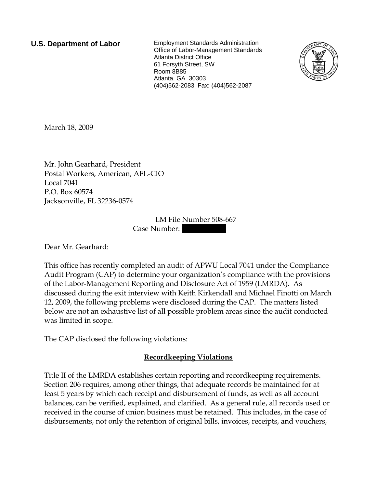**U.S. Department of Labor** Employment Standards Administration Office of Labor-Management Standards Atlanta District Office 61 Forsyth Street, SW Room 8B85 Atlanta, GA 30303 (404)562-2083 Fax: (404)562-2087



March 18, 2009

Mr. John Gearhard, President Postal Workers, American, AFL-CIO Local 7041 P.O. Box 60574 Jacksonville, FL 32236-0574

> LM File Number 508-667 Case Number:

Dear Mr. Gearhard:

This office has recently completed an audit of APWU Local 7041 under the Compliance Audit Program (CAP) to determine your organization's compliance with the provisions of the Labor-Management Reporting and Disclosure Act of 1959 (LMRDA). As discussed during the exit interview with Keith Kirkendall and Michael Finotti on March 12, 2009, the following problems were disclosed during the CAP. The matters listed below are not an exhaustive list of all possible problem areas since the audit conducted was limited in scope.

The CAP disclosed the following violations:

## **Recordkeeping Violations**

Title II of the LMRDA establishes certain reporting and recordkeeping requirements. Section 206 requires, among other things, that adequate records be maintained for at least 5 years by which each receipt and disbursement of funds, as well as all account balances, can be verified, explained, and clarified. As a general rule, all records used or received in the course of union business must be retained. This includes, in the case of disbursements, not only the retention of original bills, invoices, receipts, and vouchers,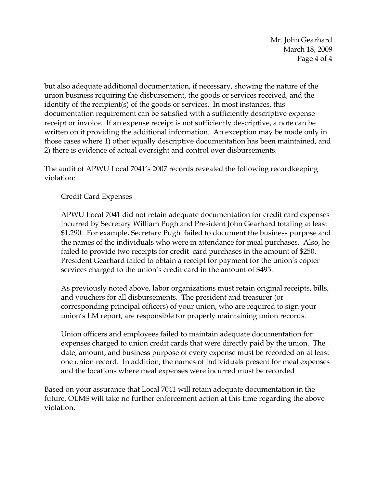Mr. John Gearhard March 18, 2009 Page 4 of 4

but also adequate additional documentation, if necessary, showing the nature of the union business requiring the disbursement, the goods or services received, and the identity of the recipient(s) of the goods or services. In most instances, this documentation requirement can be satisfied with a sufficiently descriptive expense receipt or invoice. If an expense receipt is not sufficiently descriptive, a note can be written on it providing the additional information. An exception may be made only in those cases where 1) other equally descriptive documentation has been maintained, and 2) there is evidence of actual oversight and control over disbursements.

The audit of APWU Local 7041's 2007 records revealed the following recordkeeping violation:

Credit Card Expenses

APWU Local 7041 did not retain adequate documentation for credit card expenses incurred by Secretary William Pugh and President John Gearhard totaling at least \$1,290. For example, Secretary Pugh failed to document the business purpose and the names of the individuals who were in attendance for meal purchases. Also, he failed to provide two receipts for credit card purchases in the amount of \$250. President Gearhard failed to obtain a receipt for payment for the union's copier services charged to the union's credit card in the amount of \$495.

As previously noted above, labor organizations must retain original receipts, bills, and vouchers for all disbursements. The president and treasurer (or corresponding principal officers) of your union, who are required to sign your union's LM report, are responsible for properly maintaining union records.

Union officers and employees failed to maintain adequate documentation for expenses charged to union credit cards that were directly paid by the union. The date, amount, and business purpose of every expense must be recorded on at least one union record. In addition, the names of individuals present for meal expenses and the locations where meal expenses were incurred must be recorded

Based on your assurance that Local 7041 will retain adequate documentation in the future, OLMS will take no further enforcement action at this time regarding the above violation.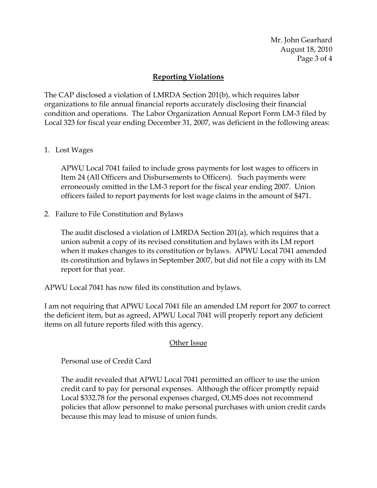Mr. John Gearhard August 18, 2010 Page 3 of 4

## **Reporting Violations**

The CAP disclosed a violation of LMRDA Section 201(b), which requires labor organizations to file annual financial reports accurately disclosing their financial condition and operations. The Labor Organization Annual Report Form LM-3 filed by Local 323 for fiscal year ending December 31, 2007, was deficient in the following areas:

1. Lost Wages

APWU Local 7041 failed to include gross payments for lost wages to officers in Item 24 (All Officers and Disbursements to Officers). Such payments were erroneously omitted in the LM-3 report for the fiscal year ending 2007. Union officers failed to report payments for lost wage claims in the amount of \$471.

2. Failure to File Constitution and Bylaws

The audit disclosed a violation of LMRDA Section 201(a), which requires that a union submit a copy of its revised constitution and bylaws with its LM report when it makes changes to its constitution or bylaws. APWU Local 7041 amended its constitution and bylaws in September 2007, but did not file a copy with its LM report for that year.

APWU Local 7041 has now filed its constitution and bylaws.

I am not requiring that APWU Local 7041 file an amended LM report for 2007 to correct the deficient item, but as agreed, APWU Local 7041 will properly report any deficient items on all future reports filed with this agency.

## Other Issue

Personal use of Credit Card

The audit revealed that APWU Local 7041 permitted an officer to use the union credit card to pay for personal expenses. Although the officer promptly repaid Local \$332.78 for the personal expenses charged, OLMS does not recommend policies that allow personnel to make personal purchases with union credit cards because this may lead to misuse of union funds.